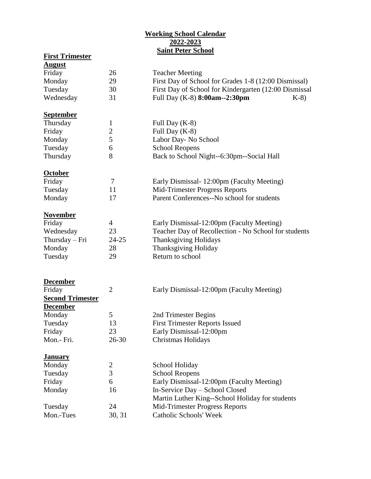## **Working School Calendar 2022-2023 Saint Peter School**

| <b>First Trimester</b>  |                |                                                       |
|-------------------------|----------------|-------------------------------------------------------|
| <u>August</u>           |                |                                                       |
| Friday                  | 26             | <b>Teacher Meeting</b>                                |
| Monday                  | 29             | First Day of School for Grades 1-8 (12:00 Dismissal)  |
| Tuesday                 | 30             | First Day of School for Kindergarten (12:00 Dismissal |
| Wednesday               | 31             | Full Day (K-8) 8:00am--2:30pm<br>$K-8$                |
| <b>September</b>        |                |                                                       |
| Thursday                | $\mathbf{1}$   | Full Day (K-8)                                        |
| Friday                  | $\mathbf{2}$   | Full Day (K-8)                                        |
| Monday                  | 5              | Labor Day- No School                                  |
| Tuesday                 | 6              | <b>School Reopens</b>                                 |
| Thursday                | 8              | Back to School Night--6:30pm--Social Hall             |
| <b>October</b>          |                |                                                       |
| Friday                  | $\tau$         | Early Dismissal- 12:00pm (Faculty Meeting)            |
| Tuesday                 | 11             | Mid-Trimester Progress Reports                        |
| Monday                  | 17             | Parent Conferences--No school for students            |
|                         |                |                                                       |
| <b>November</b>         |                |                                                       |
| Friday                  | 4              | Early Dismissal-12:00pm (Faculty Meeting)             |
| Wednesday               | 23             | Teacher Day of Recollection - No School for students  |
| $Thursday - Fri$        | $24 - 25$      | <b>Thanksgiving Holidays</b>                          |
| Monday                  | 28             | <b>Thanksgiving Holiday</b>                           |
| Tuesday                 | 29             | Return to school                                      |
|                         |                |                                                       |
| <b>December</b>         |                |                                                       |
| Friday                  | $\overline{2}$ | Early Dismissal-12:00pm (Faculty Meeting)             |
| <b>Second Trimester</b> |                |                                                       |
| <b>December</b>         |                |                                                       |
| Monday                  | 5              | 2nd Trimester Begins                                  |
| Tuesday                 | 13             | <b>First Trimester Reports Issued</b>                 |
| Friday                  | 23             | Early Dismissal-12:00pm                               |
| Mon.- Fri.              | $26 - 30$      | <b>Christmas Holidays</b>                             |
| <b>January</b>          |                |                                                       |
| Monday                  | 2              | School Holiday                                        |
| Tuesday                 | 3              | <b>School Reopens</b>                                 |
| Friday                  | 6              | Early Dismissal-12:00pm (Faculty Meeting)             |
| Monday                  | 16             | In-Service Day - School Closed                        |
|                         |                | Martin Luther King--School Holiday for students       |
| Tuesday                 | 24             | Mid-Trimester Progress Reports                        |
| Mon.-Tues               | 30, 31         | Catholic Schools' Week                                |
|                         |                |                                                       |